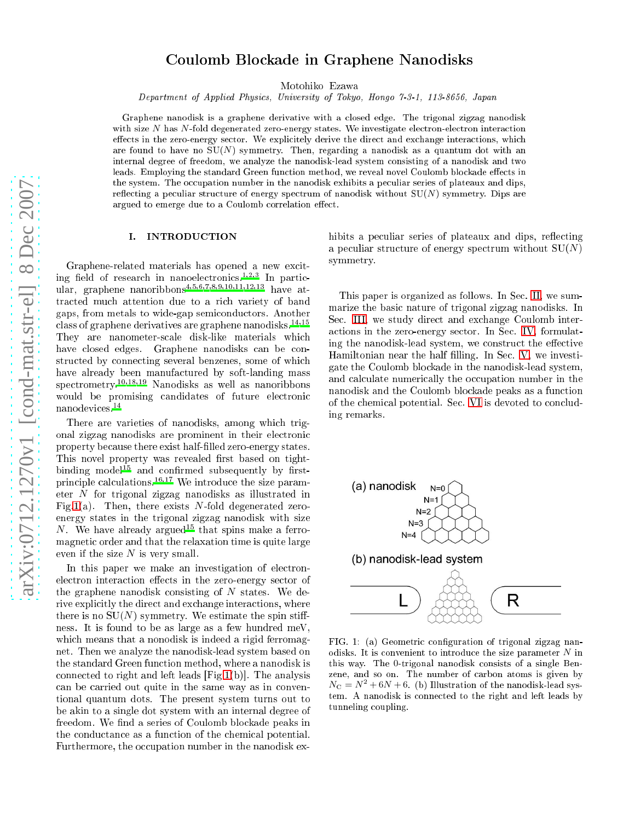# Coulomb Blo
kade in Graphene Nanodisks

Motohiko Ezawa

Department of Applied Physi
s, University of Tokyo, Hongo 7-3-1, 113-8656, Japan

Graphene nanodisk is a graphene derivative with a losed edge. The trigonal zigzag nanodisk with size  $N$  has  $N$ -fold degenerated zero-energy states. We investigate electron-electron interaction effects in the zero-energy sector. We explicitely derive the direct and exchange interactions, which are found to have no  $SU(N)$  symmetry. Then, regarding a nanodisk as a quantum dot with an internal degree of freedom, we analyze the nanodisk-lead system onsisting of a nanodisk and two leads. Employing the standard Green function method, we reveal novel Coulomb blockade effects in the system. The occupation number in the nanodisk exhibits a peculiar series of plateaux and dips, reflecting a peculiar structure of energy spectrum of nanodisk without  $SU(N)$  symmetry. Dips are argued to emerge due to a Coulomb correlation effect.

# I. INTRODUCTION

Graphene-related materials has opened a new ex
iting field of research in nanoelectronics.<sup>1,2,3</sup> In particular, graphene nanoribbons<sup>4,5,6,7,8,9,10,11,12,13</sup> have attracted much attention due to a rich variety of band gaps, from metals to wide-gap semi
ondu
tors. Another class of graphene derivatives are graphene nanodisks.<sup>14,15</sup> They are nanometer-scale disk-like materials which have closed edges. Graphene nanodisks can be constructed by connecting several benzenes, some of which have already been manufactured by soft-landing mass spe
trometry.10,18,19 Nanodisks as well as nanoribbons would be promising candidates of future electronic nanodevi
es.<sup>14</sup>

There are varieties of nanodisks, among whi
h trigonal zigzag nanodisks are prominent in their ele
troni property because there exist half-filled zero-energy states. This novel property was revealed first based on tightbinding model<sup>15</sup> and confirmed subsequently by firstprinciple calculations.<sup>16,17</sup> We introduce the size parameter N for trigonal zigzag nanodisks as illustrated in Fig[.1\(](#page-0-0)a). Then, there exists N-fold degenerated zeroenergy states in the trigonal zigzag nanodisk with size N. We have already argued<sup>15</sup> that spins make a ferromagneti order and that the relaxation time is quite large even if the size  $N$  is very small.

In this paper we make an investigation of electronelectron interaction effects in the zero-energy sector of the graphene nanodisk consisting of  $N$  states. We derive explicitly the direct and exchange interactions, where there is no  $SU(N)$  symmetry. We estimate the spin stiffness. It is found to be as large as a few hundred meV, which means that a nonodisk is indeed a rigid ferromagnet. Then we analyze the nanodisk-lead system based on the standard Green fun
tion method, where a nanodisk is connected to right and left leads  $[Fig.1(b)]$  $[Fig.1(b)]$  $[Fig.1(b)]$ . The analysis an be arried out quite in the same way as in onventional quantum dots. The present system turns out to be akin to a single dot system with an internal degree of freedom. We find a series of Coulomb blockade peaks in the conductance as a function of the chemical potential. Furthermore, the occupation number in the nanodisk exhibits a peculiar series of plateaux and dips, reflecting a peculiar structure of energy spectrum without  $SU(N)$ symmetry.

This paper is organized as follows. In Sec. [II,](#page-1-0) we summarize the basi nature of trigonal zigzag nanodisks. In Sec. [III,](#page-1-1) we study direct and exchange Coulomb intera
tions in the zero-energy se
tor. In Se
. [IV,](#page-2-0) formulating the nanodisk-lead system, we construct the effective Hamiltonian near the half filling. In Sec. [V,](#page-3-0) we investigate the Coulomb blo
kade in the nanodisk-lead system, and calculate numerically the occupation number in the nanodisk and the Coulomb blo
kade peaks as a fun
tion of the chemical potential. Sec. [VI](#page-5-0) is devoted to concluding remarks.



<span id="page-0-0"></span>FIG. 1: (a) Geometric configuration of trigonal zigzag nanodisks. It is convenient to introduce the size parameter  $N$  in this way. The 0-trigonal nanodisk onsists of a single Benzene, and so on. The number of carbon atoms is given by  $N_{\rm C}=N^2+6N+6$ . (b) Illustration of the nanodisk-lead system. A nanodisk is onne
ted to the right and left leads by tunneling coupling.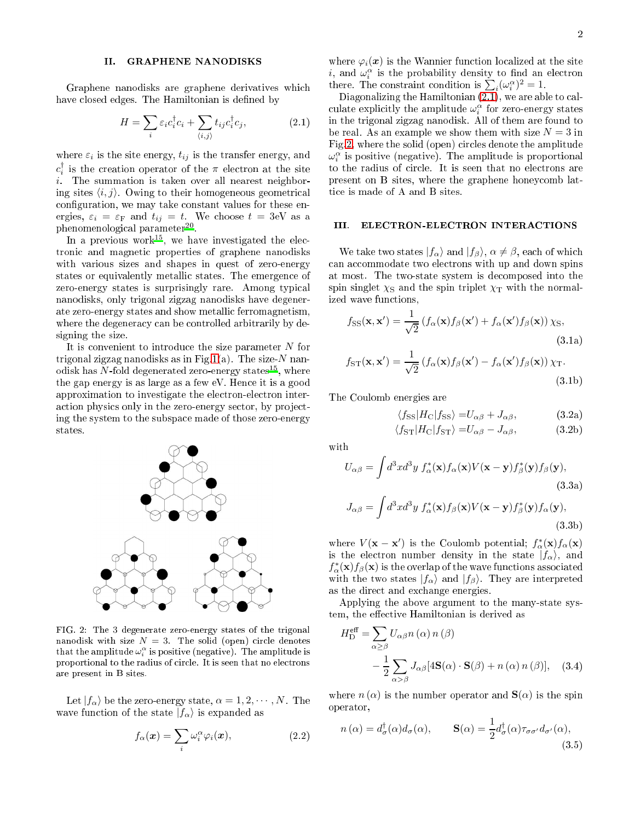### <span id="page-1-0"></span>II. GRAPHENE NANODISKS

Graphene nanodisks are graphene derivatives whi
h have closed edges. The Hamiltonian is defined by

<span id="page-1-2"></span>
$$
H = \sum_{i} \varepsilon_i c_i^{\dagger} c_i + \sum_{\langle i,j \rangle} t_{ij} c_i^{\dagger} c_j, \qquad (2.1)
$$

where  $\varepsilon_i$  is the site energy,  $t_{ij}$  is the transfer energy, and  $c_i^{\dagger}$  is the creation operator of the  $\pi$  electron at the site i. The summation is taken over all nearest neighboring sites  $\langle i, j \rangle$ . Owing to their homogeneous geometrical configuration, we may take constant values for these energies,  $\varepsilon_i = \varepsilon_F$  and  $t_{ij} = t$ . We choose  $t = 3$ eV as a phenomenological parameter<sup>--</sup>.

In a previous work<sup>--</sup>, we have investigated the electronic and magnetic properties of graphene nanodisks with various sizes and shapes in quest of zero-energy states or equivalently metallic states. The emergence of zero-energy states is surprisingly rare. Among typi
al nanodisks, only trigonal zigzag nanodisks have degenerate zero-energy states and show metalli ferromagnetism, where the degeneracy can be controlled arbitrarily by designing the size.

It is onvenient to introdu
e the size parameter N for trigonal zigzag nanodisks as in Fig[.1\(](#page-0-0)a). The size- $N$  nanodisk has  $N$ -fold degenerated zero-energy states $^{15},\,$  where the gap energy is as large as a few eV. Hen
e it is a good approximation to investigate the electron-electron interaction physics only in the zero-energy sector, by projecting the system to the subspa
e made of those zero-energy states.



<span id="page-1-3"></span>FIG. 2: The 3 degenerate zero-energy states of the trigonal nanodisk with size  $N = 3$ . The solid (open) circle denotes that the amplitude  $\omega^\alpha_i$  is positive (negative). The amplitude is proportional to the radius of circle. It is seen that no electrons are present in B sites.

Let  $|f_{\alpha}\rangle$  be the zero-energy state,  $\alpha = 1, 2, \cdots, N$ . The wave function of the state  $|f_{\alpha}\rangle$  is expanded as

$$
f_{\alpha}(\boldsymbol{x}) = \sum_{i} \omega_i^{\alpha} \varphi_i(\boldsymbol{x}), \qquad (2.2)
$$

where  $\varphi_i(x)$  is the Wannier function localized at the site i, and  $\omega_i^{\alpha}$  is the probability density to find an electron there. The constraint condition is  $\sum_{i}^{\infty} (\omega_i^{\alpha})^2 = 1$ .

Diagonalizing the Hamiltonian  $(2.1)$ , we are able to calculate explicitly the amplitude  $\omega_i^{\alpha}$  for zero-energy states in the trigonal zigzag nanodisk. All of them are found to be real. As an example we show them with size  $N = 3$  in Fig[.2,](#page-1-3) where the solid (open) circles denote the amplitude  $\omega_i^{\alpha}$  is positive (negative). The amplitude is proportional to the radius of circle. It is seen that no electrons are present on B sites, where the graphene honey
omb latti
e is made of A and B sites.

# <span id="page-1-1"></span>III. ELECTRON-ELECTRON INTERACTIONS

We take two states  $|f_{\alpha}\rangle$  and  $|f_{\beta}\rangle$ ,  $\alpha \neq \beta$ , each of which can accommodate two electrons with up and down spins at most. The two-state system is de
omposed into the spin singlet  $\chi_{\rm S}$  and the spin triplet  $\chi_{\rm T}$  with the normalized wave fun
tions,

$$
f_{\rm SS}(\mathbf{x}, \mathbf{x}') = \frac{1}{\sqrt{2}} \left( f_{\alpha}(\mathbf{x}) f_{\beta}(\mathbf{x}') + f_{\alpha}(\mathbf{x}') f_{\beta}(\mathbf{x}) \right) \chi_{\rm S},
$$
\n(3.1a)

$$
f_{\rm ST}(\mathbf{x}, \mathbf{x}') = \frac{1}{\sqrt{2}} \left( f_{\alpha}(\mathbf{x}) f_{\beta}(\mathbf{x}') - f_{\alpha}(\mathbf{x}') f_{\beta}(\mathbf{x}) \right) \chi_{\rm T}.
$$
\n(3.1b)

The Coulomb energies are

$$
\langle f_{\rm SS} | H_{\rm C} | f_{\rm SS} \rangle = U_{\alpha\beta} + J_{\alpha\beta}, \tag{3.2a}
$$

$$
\langle f_{\rm ST} | H_{\rm C} | f_{\rm ST} \rangle = U_{\alpha\beta} - J_{\alpha\beta}, \tag{3.2b}
$$

$$
U_{\alpha\beta} = \int d^3x d^3y f_{\alpha}^*(\mathbf{x}) f_{\alpha}(\mathbf{x}) V(\mathbf{x} - \mathbf{y}) f_{\beta}^*(\mathbf{y}) f_{\beta}(\mathbf{y}),
$$
\n(3.3a)

$$
J_{\alpha\beta} = \int d^3x d^3y f_{\alpha}^*(\mathbf{x}) f_{\beta}(\mathbf{x}) V(\mathbf{x} - \mathbf{y}) f_{\beta}^*(\mathbf{y}) f_{\alpha}(\mathbf{y}),
$$
\n(3.3b)

where  $V(\mathbf{x} - \mathbf{x}')$  is the Coulomb potential;  $f^*_{\alpha}(\mathbf{x})f_{\alpha}(\mathbf{x})$ is the electron number density in the state  $|f_{\alpha}\rangle$ , and  $f_\alpha^*(\mathbf{x})f_\beta(\mathbf{x})$  is the overlap of the wave functions associated with the two states  $|f_{\alpha}\rangle$  and  $|f_{\beta}\rangle$ . They are interpreted as the dire
t and ex
hange energies.

Applying the above argument to the many-state system, the effective Hamiltonian is derived as

<span id="page-1-4"></span>
$$
H_{\mathcal{D}}^{\text{eff}} = \sum_{\alpha \ge \beta} U_{\alpha\beta} n(\alpha) n(\beta)
$$

$$
- \frac{1}{2} \sum_{\alpha > \beta} J_{\alpha\beta} [4\mathbf{S}(\alpha) \cdot \mathbf{S}(\beta) + n(\alpha) n(\beta)], \quad (3.4)
$$

where  $n(\alpha)$  is the number operator and  $\mathbf{S}(\alpha)$  is the spin operator,

$$
n(\alpha) = d^{\dagger}_{\sigma}(\alpha)d_{\sigma}(\alpha), \qquad \mathbf{S}(\alpha) = \frac{1}{2}d^{\dagger}_{\sigma}(\alpha)\tau_{\sigma\sigma'}d_{\sigma'}(\alpha), \tag{3.5}
$$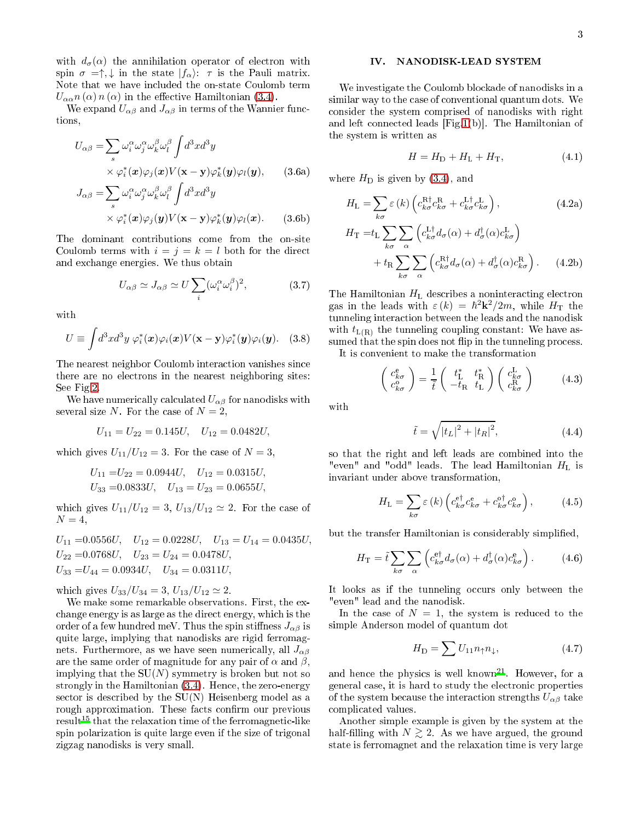with  $d_{\sigma}(\alpha)$  the annihilation operator of electron with spin  $\sigma = \uparrow, \downarrow$  in the state  $|f_{\alpha}\rangle$ :  $\tau$  is the Pauli matrix. Note that we have in
luded the on-state Coulomb term  $U_{\alpha\alpha}n(\alpha)n(\alpha)$  in the effective Hamiltonian [\(3.4\)](#page-1-4).

We expand  $U_{\alpha\beta}$  and  $J_{\alpha\beta}$  in terms of the Wannier functions,

$$
U_{\alpha\beta} = \sum_{s} \omega_i^{\alpha} \omega_j^{\alpha} \omega_k^{\beta} \omega_l^{\beta} \int d^3x d^3y
$$
  
 
$$
\times \varphi_i^*(\mathbf{x}) \varphi_j(\mathbf{x}) V(\mathbf{x} - \mathbf{y}) \varphi_k^*(\mathbf{y}) \varphi_l(\mathbf{y}), \qquad (3.6a)
$$

$$
J_{\alpha\beta} = \sum_{s} \omega_i^{\alpha} \omega_j^{\alpha} \omega_k^{\beta} \omega_l^{\beta} \int d^3x d^3y
$$
  
 
$$
\times \varphi_i^*(\mathbf{x}) \varphi_j(\mathbf{y}) V(\mathbf{x} - \mathbf{y}) \varphi_k^*(\mathbf{y}) \varphi_l(\mathbf{x}). \qquad (3.6b)
$$

The dominant ontributions ome from the on-site Coulomb terms with  $i = j = k = l$  both for the direct and ex
hange energies. We thus obtain

$$
U_{\alpha\beta} \simeq J_{\alpha\beta} \simeq U \sum_{i} (\omega_i^{\alpha} \omega_i^{\beta})^2, \tag{3.7}
$$

with

$$
U \equiv \int d^3x d^3y \; \varphi_i^*(\mathbf{x}) \varphi_i(\mathbf{x}) V(\mathbf{x} - \mathbf{y}) \varphi_i^*(\mathbf{y}) \varphi_i(\mathbf{y}). \quad (3.8)
$$

The nearest neighbor Coulomb intera
tion vanishes sin
e there are no electrons in the nearest neighboring sites: See Fig[.2.](#page-1-3)

We have numerically calculated  $U_{\alpha\beta}$  for nanodisks with several size N. For the case of  $N=2$ ,

$$
U_{11} = U_{22} = 0.145U, \quad U_{12} = 0.0482U,
$$

which gives  $U_{11}/U_{12} = 3$ . For the case of  $N = 3$ ,

$$
U_{11} = U_{22} = 0.0944U
$$
,  $U_{12} = 0.0315U$ ,  
\n $U_{33} = 0.0833U$ ,  $U_{13} = U_{23} = 0.0655U$ ,

which gives  $U_{11}/U_{12} = 3, U_{13}/U_{12} \simeq 2$ . For the case of  $N=4$ ,

$$
U_{11} = 0.0556U
$$
,  $U_{12} = 0.0228U$ ,  $U_{13} = U_{14} = 0.0435U$ ,  
\n $U_{22} = 0.0768U$ ,  $U_{23} = U_{24} = 0.0478U$ ,  
\n $U_{33} = U_{44} = 0.0934U$ ,  $U_{34} = 0.0311U$ ,

which gives  $U_{33}/U_{34} = 3, U_{13}/U_{12} \simeq 2$ .

We make some remarkable observations. First, the ex hange energy is as large as the dire
t energy, whi
h is the order of a few hundred meV. Thus the spin stiffness  $J_{\alpha\beta}$  is quite large, implying that nanodisks are rigid ferromagnets. Furthermore, as we have seen numerically, all  $J_{\alpha\beta}$ are the same order of magnitude for any pair of  $\alpha$  and  $\beta$ , implying that the  $SU(N)$  symmetry is broken but not so strongly in the Hamiltonian  $(3.4)$ . Hence, the zero-energy sector is described by the  $SU(N)$  Heisenberg model as a rough approximation. These facts confirm our previous result<sup>15</sup> that the relaxation time of the ferromagnetic-like spin polarization is quite large even if the size of trigonal zigzag nanodisks is very small.

#### <span id="page-2-0"></span>IV. NANODISK-LEAD SYSTEM

We investigate the Coulomb blo
kade of nanodisks in a similar way to the case of conventional quantum dots. We onsider the system omprised of nanodisks with right and left connected leads  $|Fig.1(b)|$  $|Fig.1(b)|$  $|Fig.1(b)|$ . The Hamiltonian of the system is written as

<span id="page-2-1"></span>
$$
H = HD + HL + HT, \t\t(4.1)
$$

where  $H_D$  is given by  $(3.4)$ , and

$$
H_{\rm L} = \sum_{k\sigma} \varepsilon(k) \left( c_{k\sigma}^{\rm R\dagger} c_{k\sigma}^{\rm R} + c_{k\sigma}^{\rm L\dagger} c_{k\sigma}^{\rm L} \right),
$$
(4.2a)  

$$
H_{\rm T} = t_{\rm L} \sum_{k\sigma} \sum_{\alpha} \left( c_{k\sigma}^{\rm L\dagger} d_{\sigma}(\alpha) + d_{\sigma}^{\dagger}(\alpha) c_{k\sigma}^{\rm L} \right)
$$

$$
+ t_{\rm R} \sum_{k\sigma} \sum_{\alpha} \left( c_{k\sigma}^{\rm R\dagger} d_{\sigma}(\alpha) + d_{\sigma}^{\dagger}(\alpha) c_{k\sigma}^{\rm R} \right). \quad (4.2b)
$$

The Hamiltonian  $H<sub>L</sub>$  describes a noninteracting electron gas in the leads with  $\varepsilon(k) = \hbar^2 \mathbf{k}^2/2m$ , while  $H_T$  the tunneling interaction between the leads and the nanodisk with  $t_{L(R)}$  the tunneling coupling constant: We have assumed that the spin does not flip in the tunneling process.

It is onvenient to make the transformation

$$
\begin{pmatrix} c_{k\sigma}^{\mathrm{e}} \\ c_{k\sigma}^{\mathrm{o}} \end{pmatrix} = \frac{1}{\tilde{t}} \begin{pmatrix} t_{\mathrm{L}}^{*} & t_{\mathrm{R}}^{*} \\ -t_{\mathrm{R}} & t_{\mathrm{L}} \end{pmatrix} \begin{pmatrix} c_{k\sigma}^{\mathrm{L}} \\ c_{k\sigma}^{\mathrm{R}} \end{pmatrix} \tag{4.3}
$$

with

$$
\tilde{t} = \sqrt{|t_L|^2 + |t_R|^2},\tag{4.4}
$$

so that the right and left leads are ombined into the "even" and "odd" leads. The lead Hamiltonian  $H_L$  is invariant under above transformation,

$$
H_{\rm L} = \sum_{k\sigma} \varepsilon(k) \left( c_{k\sigma}^{\rm e\dagger} c_{k\sigma}^{\rm e} + c_{k\sigma}^{\rm o\dagger} c_{k\sigma}^{\rm o} \right),\tag{4.5}
$$

but the transfer Hamiltonian is considerably simplified,

$$
H_{\rm T} = \tilde{t} \sum_{k\sigma} \sum_{\alpha} \left( c_{k\sigma}^{\rm e\dagger} d_{\sigma}(\alpha) + d_{\sigma}^{\dagger}(\alpha) c_{k\sigma}^{\rm e} \right). \tag{4.6}
$$

It looks as if the tunneling occurs only between the "even" lead and the nanodisk.

In the case of  $N = 1$ , the system is reduced to the simple Anderson model of quantum dot

$$
H_{\rm D} = \sum U_{11} n_{\uparrow} n_{\downarrow},\tag{4.7}
$$

and hence the physics is well known<sup>--</sup>. However, for a general ase, it is hard to study the ele
troni properties of the system because the interaction strengths  $U_{\alpha\beta}$  take ompli
ated values.

Another simple example is given by the system at the half-filling with  $N \gtrsim 2$ . As we have argued, the ground state is ferromagnet and the relaxation time is very large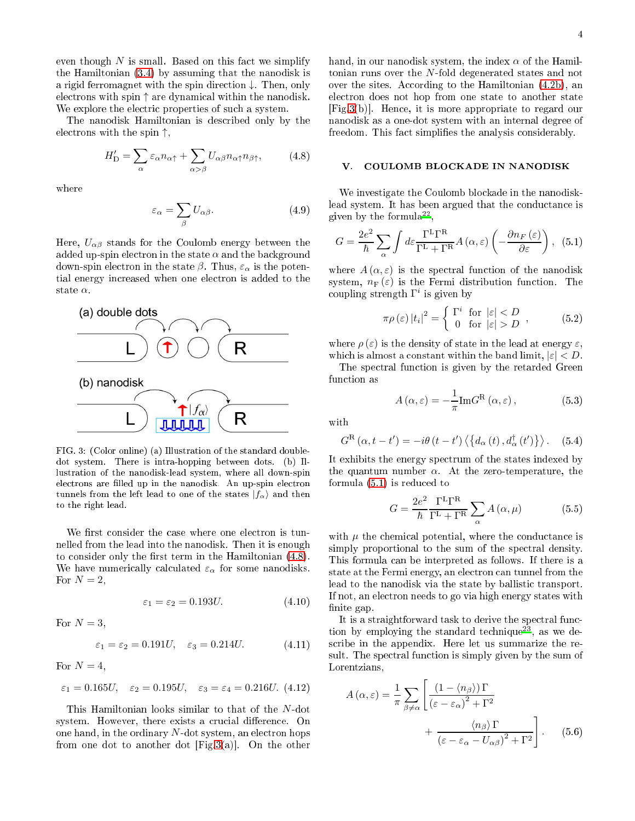even though  $N$  is small. Based on this fact we simplify the Hamiltonian [\(3.4\)](#page-1-4) by assuming that the nanodisk is a rigid ferromagnet with the spin dire
tion ↓. Then, only ele
trons with spin ↑ are dynami
al within the nanodisk. We explore the electric properties of such a system.

The nanodisk Hamiltonian is des
ribed only by the electrons with the spin  $\uparrow$ ,

<span id="page-3-1"></span>
$$
H'_{\mathcal{D}} = \sum_{\alpha} \varepsilon_{\alpha} n_{\alpha\uparrow} + \sum_{\alpha > \beta} U_{\alpha\beta} n_{\alpha\uparrow} n_{\beta\uparrow}, \tag{4.8}
$$

where

$$
\varepsilon_{\alpha} = \sum_{\beta} U_{\alpha\beta}.
$$
 (4.9)

Here,  $U_{\alpha\beta}$  stands for the Coulomb energy between the added up-spin electron in the state  $\alpha$  and the background down-spin electron in the state  $\beta$ . Thus,  $\varepsilon_{\alpha}$  is the potential energy in
reased when one ele
tron is added to the state  $\alpha$ .



<span id="page-3-2"></span>FIG. 3: (Color online) (a) Illustration of the standard doubledot system. There is intra-hopping between dots. (b) Illustration of the nanodisk-lead system, where all down-spin electrons are filled up in the nanodisk. An up-spin electron tunnels from the left lead to one of the states  $|f_{\alpha}\rangle$  and then to the right lead.

We first consider the case where one electron is tunnelled from the lead into the nanodisk. Then it is enough to consider only the first term in the Hamiltonian  $(4.8)$ . We have numerically calculated  $\varepsilon_{\alpha}$  for some nanodisks. For  $N=2$ ,

$$
\varepsilon_1 = \varepsilon_2 = 0.193U.\tag{4.10}
$$

For  $N=3$ ,

$$
\varepsilon_1 = \varepsilon_2 = 0.191U, \quad \varepsilon_3 = 0.214U. \tag{4.11}
$$

For  $N = 4$ ,

$$
\varepsilon_1 = 0.165U, \quad \varepsilon_2 = 0.195U, \quad \varepsilon_3 = \varepsilon_4 = 0.216U.
$$
 (4.12)

This Hamiltonian looks similar to that of the N-dot system. However, there exists a crucial difference. On one hand, in the ordinary  $N$ -dot system, an electron hops from one dot to another dot  $[Fig.3(a)].$  $[Fig.3(a)].$  $[Fig.3(a)].$  On the other

hand, in our nanodisk system, the index  $\alpha$  of the Hamiltonian runs over the N-fold degenerated states and not over the sites. According to the Hamiltonian  $(4.2b)$ , and ele
tron does not hop from one state to another state  $[Fig.3(b)]$  $[Fig.3(b)]$  $[Fig.3(b)]$ . Hence, it is more appropriate to regard our nanodisk as a one-dot system with an internal degree of freedom. This fact simplifies the analysis considerably.

# <span id="page-3-0"></span>V. COULOMB BLOCKADE IN NANODISK

We investigate the Coulomb blo
kade in the nanodisklead system. It has been argued that the conductance is given by the formula<sup>--</sup>,

<span id="page-3-3"></span>
$$
G = \frac{2e^2}{\hbar} \sum_{\alpha} \int d\varepsilon \frac{\Gamma^{\rm L} \Gamma^{\rm R}}{\Gamma^{\rm L} + \Gamma^{\rm R}} A(\alpha, \varepsilon) \left( -\frac{\partial n_F(\varepsilon)}{\partial \varepsilon} \right), (5.1)
$$

where  $A(\alpha, \varepsilon)$  is the spectral function of the nanodisk system,  $n_F(\varepsilon)$  is the Fermi distribution function. The coupling strength  $\Gamma^i$  is given by

$$
\pi \rho \left( \varepsilon \right) |t_i|^2 = \begin{cases} \Gamma^i & \text{for } \left| \varepsilon \right| < D \\ 0 & \text{for } \left| \varepsilon \right| > D \end{cases} \tag{5.2}
$$

where  $\rho(\varepsilon)$  is the density of state in the lead at energy  $\varepsilon$ , which is almost a constant within the band limit,  $|\varepsilon| < D$ .

The spe
tral fun
tion is given by the retarded Green function as

$$
A(\alpha, \varepsilon) = -\frac{1}{\pi} \text{Im} G^{\text{R}}(\alpha, \varepsilon), \qquad (5.3)
$$

with

<span id="page-3-5"></span>
$$
G^{\rm R}(\alpha, t-t') = -i\theta(t-t') \left\langle \left\{ d_{\alpha}(t), d_{\alpha}^{\dagger}(t') \right\} \right\rangle. \quad (5.4)
$$

It exhibits the energy spe
trum of the states indexed by the quantum number  $\alpha$ . At the zero-temperature, the formula [\(5.1\)](#page-3-3) is redu
ed to

$$
G = \frac{2e^2}{\hbar} \frac{\Gamma^{\rm L} \Gamma^{\rm R}}{\Gamma^{\rm L} + \Gamma^{\rm R}} \sum_{\alpha} A\left(\alpha, \mu\right) \tag{5.5}
$$

with  $\mu$  the chemical potential, where the conductance is simply proportional to the sum of the spectral density. This formula an be interpreted as follows. If there is a state at the Fermi energy, an electron can tunnel from the lead to the nanodisk via the state by ballistic transport. If not, an electron needs to go via high energy states with finite gap.

It is a straightforward task to derive the spectral function by employing the standard technique<sup>--</sup>, as we des
ribe in the appendix. Here let us summarize the result. The spectral function is simply given by the sum of Lorentzians,

<span id="page-3-4"></span>
$$
A(\alpha, \varepsilon) = \frac{1}{\pi} \sum_{\beta \neq \alpha} \left[ \frac{\left(1 - \langle n_{\beta} \rangle\right) \Gamma}{\left(\varepsilon - \varepsilon_{\alpha}\right)^{2} + \Gamma^{2}} + \frac{\langle n_{\beta} \rangle \Gamma}{\left(\varepsilon - \varepsilon_{\alpha} - U_{\alpha\beta}\right)^{2} + \Gamma^{2}} \right].
$$
 (5.6)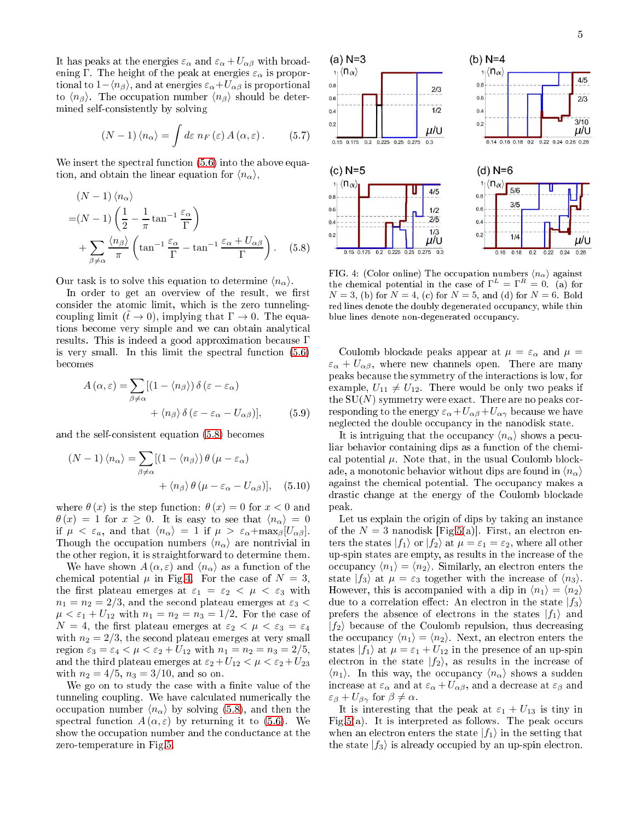It has peaks at the energies  $\varepsilon_{\alpha}$  and  $\varepsilon_{\alpha} + U_{\alpha\beta}$  with broadening Γ. The height of the peak at energies  $\varepsilon_{\alpha}$  is proportional to  $1-\langle n_\beta \rangle$ , and at energies  $\varepsilon_\alpha+U_{\alpha\beta}$  is proportional to  $\langle n_\beta \rangle$ . The occupation number  $\langle n_\beta \rangle$  should be determined selfonsistently by solving

$$
(N-1)\langle n_{\alpha}\rangle = \int d\varepsilon \; n_F\left(\varepsilon\right) A\left(\alpha, \varepsilon\right). \tag{5.7}
$$

We insert the spectral function  $(5.6)$  into the above equation, and obtain the linear equation for  $\langle n_{\alpha} \rangle$ ,

$$
(N-1)\langle n_{\alpha}\rangle
$$
  
= $(N-1)\left(\frac{1}{2}-\frac{1}{\pi}\tan^{-1}\frac{\varepsilon_{\alpha}}{\Gamma}\right)$   
+ $\sum_{\beta\neq\alpha}\frac{\langle n_{\beta}\rangle}{\pi}\left(\tan^{-1}\frac{\varepsilon_{\alpha}}{\Gamma}-\tan^{-1}\frac{\varepsilon_{\alpha}+U_{\alpha\beta}}{\Gamma}\right).$  (5.8)

Our task is to solve this equation to determine  $\langle n_{\alpha} \rangle$ .

In order to get an overview of the result, we first consider the atomic limit, which is the zero tunnelingcoupling limit  $(\tilde{t} \to 0)$ , implying that  $\Gamma \to 0$ . The equations become very simple and we can obtain analytical results. This is indeed <sup>a</sup> good approximation be
ause Γ is very small. In this limit the spectral function  $(5.6)$ be
omes

$$
A(\alpha, \varepsilon) = \sum_{\beta \neq \alpha} [(1 - \langle n_{\beta} \rangle) \, \delta(\varepsilon - \varepsilon_{\alpha}) + \langle n_{\beta} \rangle \, \delta(\varepsilon - \varepsilon_{\alpha} - U_{\alpha \beta})], \tag{5.9}
$$

and the selfonsistent equation [\(5.8\)](#page-4-0) be
omes

$$
(N-1)\langle n_{\alpha}\rangle = \sum_{\beta \neq \alpha} [(1 - \langle n_{\beta} \rangle) \theta (\mu - \varepsilon_{\alpha}) + \langle n_{\beta} \rangle \theta (\mu - \varepsilon_{\alpha} - U_{\alpha \beta})], \quad (5.10)
$$

where  $\theta(x)$  is the step function:  $\theta(x) = 0$  for  $x < 0$  and  $\theta(x) = 1$  for  $x \ge 0$ . It is easy to see that  $\langle n_{\alpha} \rangle = 0$ if  $\mu < \varepsilon_a$ , and that  $\langle n_{\alpha} \rangle = 1$  if  $\mu > \varepsilon_{\alpha} + \max_{\beta} [U_{\alpha \beta}]$ . Though the occupation numbers  $\langle n_{\alpha} \rangle$  are nontrivial in the other region, it is straightforward to determine them.

We have shown  $A(\alpha, \varepsilon)$  and  $\langle n_{\alpha} \rangle$  as a function of the chemical potential  $\mu$  in Fig[.4.](#page-4-1) For the case of  $N = 3$ , the first plateau emerges at  $\varepsilon_1 = \varepsilon_2 < \mu < \varepsilon_3$  with  $n_1 = n_2 = 2/3$ , and the second plateau emerges at  $\varepsilon_3$  <  $\mu < \varepsilon_1 + U_{12}$  with  $n_1 = n_2 = n_3 = 1/2$ . For the case of  $N = 4$ , the first plateau emerges at  $\varepsilon_2 < \mu < \varepsilon_3 = \varepsilon_4$ with  $n_2 = 2/3$ , the second plateau emerges at very small region  $\varepsilon_3 = \varepsilon_4 < \mu < \varepsilon_2 + U_{12}$  with  $n_1 = n_2 = n_3 = 2/5$ , and the third plateau emerges at  $\varepsilon_2 + U_{12} < \mu < \varepsilon_2 + U_{23}$ with  $n_2 = 4/5$ ,  $n_3 = 3/10$ , and so on.

We go on to study the case with a finite value of the tunneling coupling. We have calculated numerically the occupation number  $\langle n_{\alpha} \rangle$  by solving [\(5.8\)](#page-4-0), and then the spectral function  $A(\alpha,\varepsilon)$  by returning it to [\(5.6\)](#page-3-4). We show the occupation number and the conductance at the zero-temperature in Fig[.5.](#page-5-1)



<span id="page-4-1"></span><span id="page-4-0"></span>FIG. 4: (Color online) The occupation numbers  $\langle n_{\alpha} \rangle$  against the chemical potential in the case of  $\Gamma^L = \Gamma^R = 0$ . (a) for  $N = 3$ , (b) for  $N = 4$ , (c) for  $N = 5$ , and (d) for  $N = 6$ . Bold red lines denote the doubly degenerated occupancy, while thin blue lines denote non-degenerated occupancy.

Coulomb blockade peaks appear at  $\mu = \varepsilon_\alpha$  and  $\mu =$  $\varepsilon_{\alpha} + U_{\alpha\beta}$ , where new channels open. There are many peaks be
ause the symmetry of the intera
tions is low, for example,  $U_{11} \neq U_{12}$ . There would be only two peaks if the  $SU(N)$  symmetry were exact. There are no peaks corresponding to the energy  $\varepsilon_{\alpha}+U_{\alpha\beta}+U_{\alpha\gamma}$  because we have neglected the double occupancy in the nanodisk state.

It is intriguing that the occupancy  $\langle n_{\alpha} \rangle$  shows a peculiar behavior containing dips as a function of the chemical potential  $\mu$ . Note that, in the usual Coulomb blockade, a monotonic behavior without dips are found in  $\langle n_{\alpha} \rangle$ against the chemical potential. The occupancy makes a drasti hange at the energy of the Coulomb blo
kade peak.

Let us explain the origin of dips by taking an instance of the  $N = 3$  nanodisk [Fig[.5\(](#page-5-1)a)]. First, an electron enters the states  $|f_1\rangle$  or  $|f_2\rangle$  at  $\mu = \varepsilon_1 = \varepsilon_2$ , where all other up-spin states are empty, as results in the in
rease of the occupancy  $\langle n_1 \rangle = \langle n_2 \rangle$ . Similarly, an electron enters the state  $|f_3\rangle$  at  $\mu = \varepsilon_3$  together with the increase of  $\langle n_3 \rangle$ . However, this is accompanied with a dip in  $\langle n_1 \rangle = \langle n_2 \rangle$ due to a correlation effect: An electron in the state  $|f_3\rangle$ prefers the absence of electrons in the states  $|f_1\rangle$  and  $|f_2\rangle$  because of the Coulomb repulsion, thus decreasing the occupancy  $\langle n_1 \rangle = \langle n_2 \rangle$ . Next, an electron enters the states  $|f_1\rangle$  at  $\mu = \varepsilon_1 + U_{12}$  in the presence of an up-spin electron in the state  $|f_2\rangle$ , as results in the increase of  $\langle n_1 \rangle$ . In this way, the occupancy  $\langle n_{\alpha} \rangle$  shows a sudden increase at  $\varepsilon_{\alpha}$  and at  $\varepsilon_{\alpha} + U_{\alpha\beta}$ , and a decrease at  $\varepsilon_{\beta}$  and  $\varepsilon_{\beta} + U_{\beta\gamma}$  for  $\beta \neq \alpha$ .

It is interesting that the peak at  $\varepsilon_1 + U_{13}$  is tiny in Fig[.5\(](#page-5-1)a). It is interpreted as follows. The peak occurs when an electron enters the state  $|f_1\rangle$  in the setting that the state  $|f_3\rangle$  is already occupied by an up-spin electron.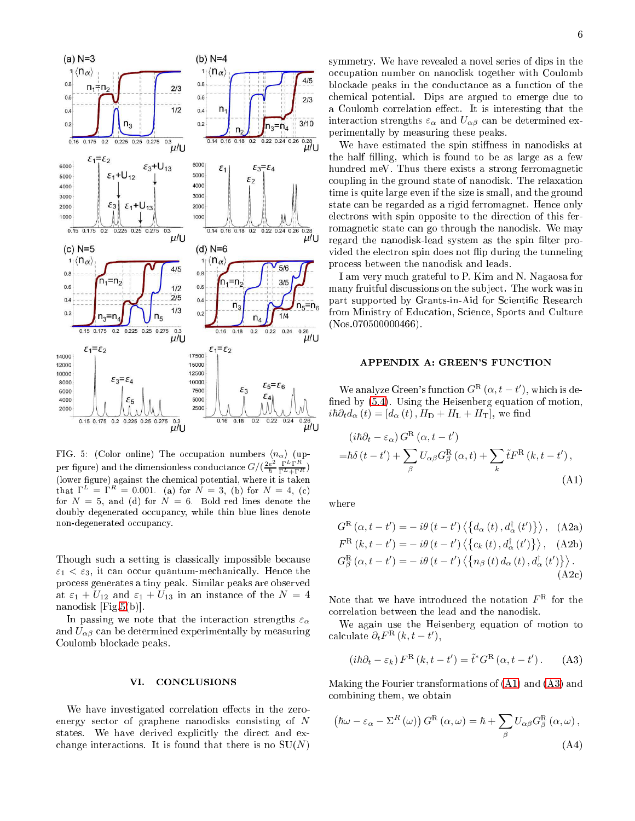

<span id="page-5-1"></span>FIG. 5: (Color online) The occupation numbers  $\langle n_{\alpha} \rangle$  (upper figure) and the dimensionless conductance  $G/(\frac{2e^2}{\hbar})$  $\frac{e^2}{\hbar} \frac{\Gamma^L \Gamma^R}{\Gamma^L + \Gamma^R}$ (lower figure) against the chemical potential, where it is taken that  $\Gamma^L = \Gamma^R = 0.001$ . (a) for  $N = 3$ , (b) for  $N = 4$ , (c) for  $N = 5$ , and (d) for  $N = 6$ . Bold red lines denote the doubly degenerated occupancy, while thin blue lines denote non-degenerated occupancy.

Though such a setting is classically impossible because  $\varepsilon_1 < \varepsilon_3$ , it can occur quantum-mechanically. Hence the pro
ess generates a tiny peak. Similar peaks are observed at  $\varepsilon_1 + U_{12}$  and  $\varepsilon_1 + U_{13}$  in an instance of the  $N = 4$ nanodisk  $[Fig.5(b)].$  $[Fig.5(b)].$  $[Fig.5(b)].$ 

In passing we note that the interaction strengths  $\varepsilon_{\alpha}$ and  $U_{\alpha\beta}$  can be determined experimentally by measuring Coulomb blo
kade peaks.

#### <span id="page-5-0"></span>VI. CONCLUSIONS

We have investigated correlation effects in the zeroenergy se
tor of graphene nanodisks onsisting of N states. We have derived explicitly the direct and exchange interactions. It is found that there is no  $SU(N)$ 

<span id="page-5-2"></span> $\sim$   $\sim$   $\sim$   $\sim$   $\sim$ 

symmetry. We have revealed a novel series of dips in the occupation number on nanodisk together with Coulomb blo
kade peaks in the ondu
tan
e as a fun
tion of the hemi
al potential. Dips are argued to emerge due to a Coulomb correlation effect. It is interesting that the interaction strengths  $\varepsilon_{\alpha}$  and  $U_{\alpha\beta}$  can be determined experimentally by measuring these peaks.

We have estimated the spin stiffness in nanodisks at the half filling, which is found to be as large as a few hundred meV. Thus there exists a strong ferromagnetic oupling in the ground state of nanodisk. The relaxation time is quite large even if the size is small, and the ground state an be regarded as a rigid ferromagnet. Hen
e only electrons with spin opposite to the direction of this ferromagnetic state can go through the nanodisk. We may regard the nanodisk-lead system as the spin filter provided the electron spin does not flip during the tunneling pro
ess between the nanodisk and leads.

I am very mu
h grateful to P. Kim and N. Nagaosa for many fruitful discussions on the subject. The work was in part supported by Grants-in-Aid for Scientific Research from Ministry of Education, Science, Sports and Culture (Nos.070500000466).

# APPENDIX A: GREEN'S FUNCTION

We analyze Green's function  $G^{\rm R}(\alpha, t-t')$ , which is defined by  $(5.4)$ . Using the Heisenberg equation of motion,  $i\hbar\partial_t d_\alpha(t) = [d_\alpha(t), H_D + H_L + H_T],$  we find

$$
(i\hbar\partial_t - \varepsilon_\alpha) G^{\rm R}(\alpha, t - t')
$$
  
= $\hbar\delta(t - t') + \sum_{\beta} U_{\alpha\beta} G^{\rm R}_{\beta}(\alpha, t) + \sum_{k} \tilde{t} F^{\rm R}(k, t - t'),$  (A1)

where

$$
G^{R}(\alpha, t - t') = -i\theta(t - t') \langle \{d_{\alpha}(t), d_{\alpha}^{\dagger}(t')\} \rangle, \quad \text{(A2a)}
$$
  
\n
$$
F^{R}(k, t - t') = -i\theta(t - t') \langle \{c_{k}(t), d_{\alpha}^{\dagger}(t')\} \rangle, \quad \text{(A2b)}
$$
  
\n
$$
G_{\beta}^{R}(\alpha, t - t') = -i\theta(t - t') \langle \{n_{\beta}(t) d_{\alpha}(t), d_{\alpha}^{\dagger}(t')\} \rangle.
$$
  
\n(A2c)

Note that we have introduced the notation  $F<sup>R</sup>$  for the orrelation between the lead and the nanodisk.

We again use the Heisenberg equation of motion to calculate  $\partial_t F^{\text{R}}(k, t-t'),$ 

<span id="page-5-3"></span>
$$
(i\hbar\partial_t - \varepsilon_k) F^{\rm R} (k, t - t') = \tilde{t}^* G^{\rm R} (\alpha, t - t'). \tag{A3}
$$

Making the Fourier transformations of [\(A1\)](#page-5-2) and [\(A3\)](#page-5-3) and ombining them, we obtain

<span id="page-5-4"></span>
$$
\left(\hbar\omega - \varepsilon_{\alpha} - \Sigma^{R}(\omega)\right)G^{R}(\alpha, \omega) = \hbar + \sum_{\beta} U_{\alpha\beta}G^R_{\beta}(\alpha, \omega),
$$
\n(A4)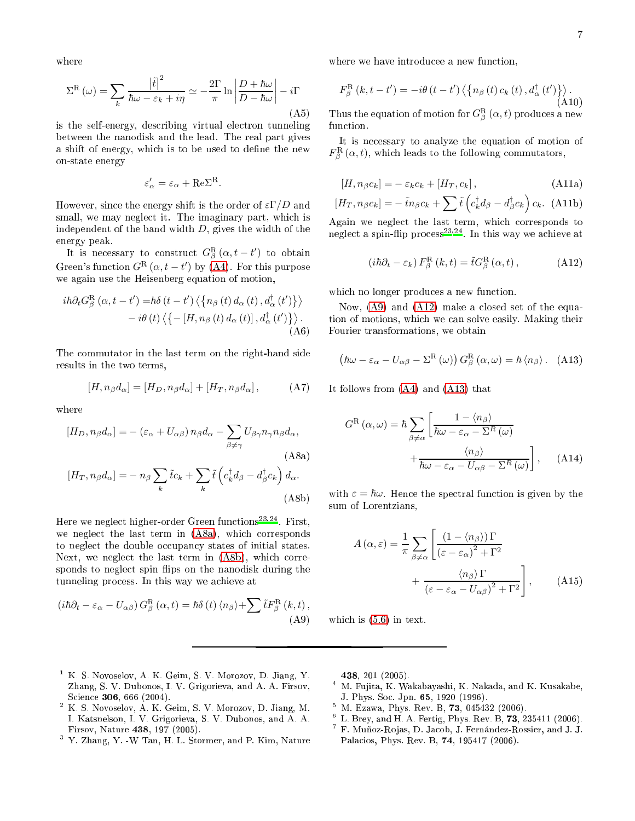where

$$
\Sigma^{\mathcal{R}}\left(\omega\right) = \sum_{k} \frac{\left|\tilde{t}\right|^{2}}{\hbar\omega - \varepsilon_{k} + i\eta} \simeq -\frac{2\Gamma}{\pi} \ln \left| \frac{D + \hbar\omega}{D - \hbar\omega} \right| - i\Gamma
$$
\n(A5)

is the self-energy, describing virtual electron tunneling between the nanodisk and the lead. The real part gives a shift of energy, which is to be used to define the new on-state energy

$$
\varepsilon'_{\alpha} = \varepsilon_{\alpha} + \text{Re}\Sigma^{\text{R}}.
$$

However, since the energy shift is the order of  $\varepsilon \Gamma/D$  and small, we may neglect it. The imaginary part, which is independent of the band width  $D$ , gives the width of the energy peak.

It is necessary to construct  $G^{\text{R}}_{\beta}(\alpha, t-t')$  to obtain Green's function  $G^{\rm R}(\alpha,t-t')$  by [\(A4\)](#page-5-4). For this purpose we again use the Heisenberg equation of motion,

$$
i\hbar\partial_{t}G_{\beta}^{\mathrm{R}}\left(\alpha,t-t^{\prime}\right)=\hbar\delta\left(t-t^{\prime}\right)\left\langle\left\{ n_{\beta}\left(t\right)d_{\alpha}\left(t\right),d_{\alpha}^{\dagger}\left(t^{\prime}\right)\right\}\right\rangle\\-\left.i\theta\left(t\right)\left\langle\left\{-\left[H,n_{\beta}\left(t\right)d_{\alpha}\left(t\right)\right],d_{\alpha}^{\dagger}\left(t^{\prime}\right)\right\}\right\rangle.\tag{A6}
$$

The ommutator in the last term on the right-hand side results in the two terms,

$$
[H, n_{\beta}d_{\alpha}] = [H_D, n_{\beta}d_{\alpha}] + [H_T, n_{\beta}d_{\alpha}], \qquad (A7)
$$

where

$$
[H_D, n_{\beta}d_{\alpha}] = -(\varepsilon_{\alpha} + U_{\alpha\beta}) n_{\beta}d_{\alpha} - \sum_{\beta \neq \gamma} U_{\beta\gamma}n_{\gamma}n_{\beta}d_{\alpha},
$$
  
\n
$$
[H_T, n_{\beta}d_{\alpha}] = -n_{\beta}\sum_{k}\tilde{t}c_k + \sum_{k}\tilde{t}\left(c_k^{\dagger}d_{\beta} - d_{\beta}^{\dagger}c_k\right)d_{\alpha}.
$$
  
\n(A8b)

Here we neglect ingher-order Green functions 22 First, we neglect the last term in  $(A8a)$ , which corresponds to neglect the double occupancy states of initial states. Next, we neglect the last term in  $(ABb)$ , which corresponds to neglect spin flips on the nanodisk during the tunneling process. In this way we achieve at

<span id="page-6-5"></span>
$$
(i\hbar\partial_t - \varepsilon_\alpha - U_{\alpha\beta}) G^R_{\beta}(\alpha, t) = \hbar\delta(t) \langle n_\beta \rangle + \sum \tilde{t} F^R_{\beta}(k, t) ,
$$
\n(A9)

where we have introducee a new function,

$$
F_{\beta}^{\mathrm{R}}\left(k,t-t^{\prime}\right)=-i\theta\left(t-t^{\prime}\right)\left\langle \left\{ n_{\beta}\left(t\right)c_{k}\left(t\right),d_{\alpha}^{\dagger}\left(t^{\prime}\right)\right\} \right\rangle .\tag{A10}
$$

Thus the equation of motion for  $G_{\beta}^{\text{R}}\left(\alpha,t\right)$  produces a new function.

It is ne
essary to analyze the equation of motion of  $F^{\text{R}}_{\beta}\left(\alpha,t\right)$ , which leads to the following commutators,

$$
[H, n_{\beta}c_k] = -\varepsilon_k c_k + [H_T, c_k], \qquad (A11a)
$$

$$
[H_T, n_{\beta}c_k] = -\tilde{t}n_{\beta}c_k + \sum_{k} \tilde{t} \left( c_k^{\dagger} d_{\beta} - d_{\beta}^{\dagger} c_k \right) c_k.
$$
 (A11b)

Again we negle
t the last term, whi
h orresponds to neglect a spin-nip process<sup>-33</sup>77. In this way we achieve at

<span id="page-6-6"></span>
$$
(i\hbar\partial_t - \varepsilon_k) F^{\rm R}_{\beta}(k, t) = \tilde{t} G^{\rm R}_{\beta}(\alpha, t), \qquad (A12)
$$

which no longer produces a new function.

Now, [\(A9\)](#page-6-5) and [\(A12\)](#page-6-6) make a losed set of the equation of motions, whi
h we an solve easily. Making their Fourier transformations, we obtain

<span id="page-6-7"></span>
$$
(\hbar\omega - \varepsilon_{\alpha} - U_{\alpha\beta} - \Sigma^{\rm R}(\omega)) G^{\rm R}_{\beta}(\alpha,\omega) = \hbar \langle n_{\beta} \rangle. \quad (A13)
$$

It follows from [\(A4\)](#page-5-4) and [\(A13\)](#page-6-7) that

$$
G^{R}(\alpha,\omega) = \hbar \sum_{\beta \neq \alpha} \left[ \frac{1 - \langle n_{\beta} \rangle}{\hbar \omega - \varepsilon_{\alpha} - \Sigma^{R}(\omega)} + \frac{\langle n_{\beta} \rangle}{\hbar \omega - \varepsilon_{\alpha} - U_{\alpha\beta} - \Sigma^{R}(\omega)} \right], \quad (A14)
$$

<span id="page-6-4"></span><span id="page-6-3"></span>with  $\varepsilon = \hbar \omega$ . Hence the spectral function is given by the sum of Lorentzians,

$$
A(\alpha, \varepsilon) = \frac{1}{\pi} \sum_{\beta \neq \alpha} \left[ \frac{\left(1 - \langle n_{\beta} \rangle\right) \Gamma}{\left(\varepsilon - \varepsilon_{\alpha}\right)^{2} + \Gamma^{2}} + \frac{\langle n_{\beta} \rangle \Gamma}{\left(\varepsilon - \varepsilon_{\alpha} - U_{\alpha \beta}\right)^{2} + \Gamma^{2}} \right],
$$
 (A15)

which is  $(5.6)$  in text.

- <span id="page-6-0"></span><sup>1</sup> K. S. Novoselov, A. K. Geim, S. V. Morozov, D. Jiang, Y. Zhang, S. V. Dubonos, I. V. Grigorieva, and A. A. Firsov, Science 306, 666 (2004).
- <span id="page-6-1"></span><sup>2</sup> K. S. Novoselov, A. K. Geim, S. V. Morozov, D. Jiang, M. I. Katsnelson, I. V. Grigorieva, S. V. Dubonos, and A. A. Firsov, Nature 438, 197 (2005).
- <span id="page-6-2"></span><sup>3</sup> Y. Zhang, Y. -W Tan, H. L. Stormer, and P. Kim, Nature

438, 201 (2005).

- M. Fujita, K. Wakabayashi, K. Nakada, and K. Kusakabe, J. Phys. So
. Jpn. 65, 1920 (1996).
- $^{\circ}$  M. Ezawa, Phys. Rev. B, 73, 045432 (2006).
- $^{\circ}$  L. Brev, and H. A. Fertig, Phys. Rev. B, 73, 235411 (2006).
- <sup>7</sup> F. Muñoz-Ro jas, D. Ja
ob, J. Fernández-Rossier, and J. J. Palacios, Phys. Rev. B, 74, 195417 (2006).